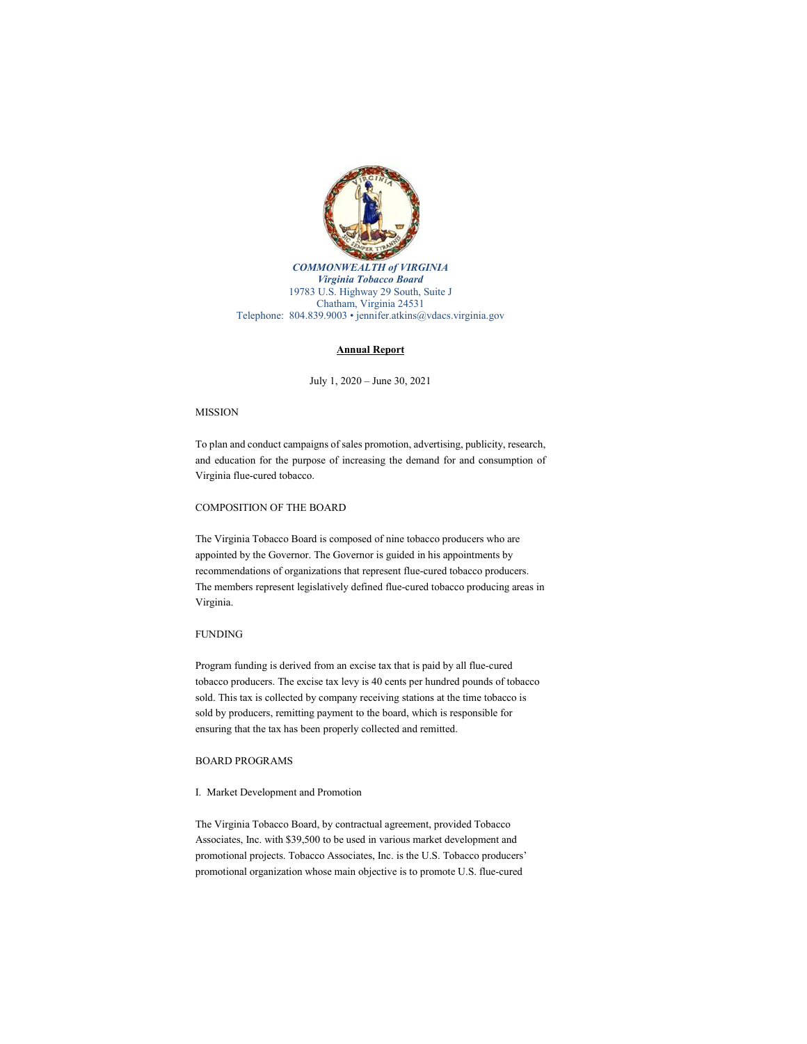

*COMMONWEALTH of VIRGINIA Virginia Tobacco Board* 19783 U.S. Highway 29 South, Suite J Chatham, Virginia 24531 Telephone: 804.839.9003 • jennifer.atkins@vdacs.virginia.gov

### **Annual Report**

July 1, 2020 – June 30, 2021

# MISSION

To plan and conduct campaigns of sales promotion, advertising, publicity, research, and education for the purpose of increasing the demand for and consumption of Virginia flue-cured tobacco.

### COMPOSITION OF THE BOARD

The Virginia Tobacco Board is composed of nine tobacco producers who are appointed by the Governor. The Governor is guided in his appointments by recommendations of organizations that represent flue-cured tobacco producers. The members represent legislatively defined flue-cured tobacco producing areas in Virginia.

## FUNDING

Program funding is derived from an excise tax that is paid by all flue-cured tobacco producers. The excise tax levy is 40 cents per hundred pounds of tobacco sold. This tax is collected by company receiving stations at the time tobacco is sold by producers, remitting payment to the board, which is responsible for ensuring that the tax has been properly collected and remitted.

# BOARD PROGRAMS

#### I. Market Development and Promotion

The Virginia Tobacco Board, by contractual agreement, provided Tobacco Associates, Inc. with \$39,500 to be used in various market development and promotional projects. Tobacco Associates, Inc. is the U.S. Tobacco producers' promotional organization whose main objective is to promote U.S. flue-cured